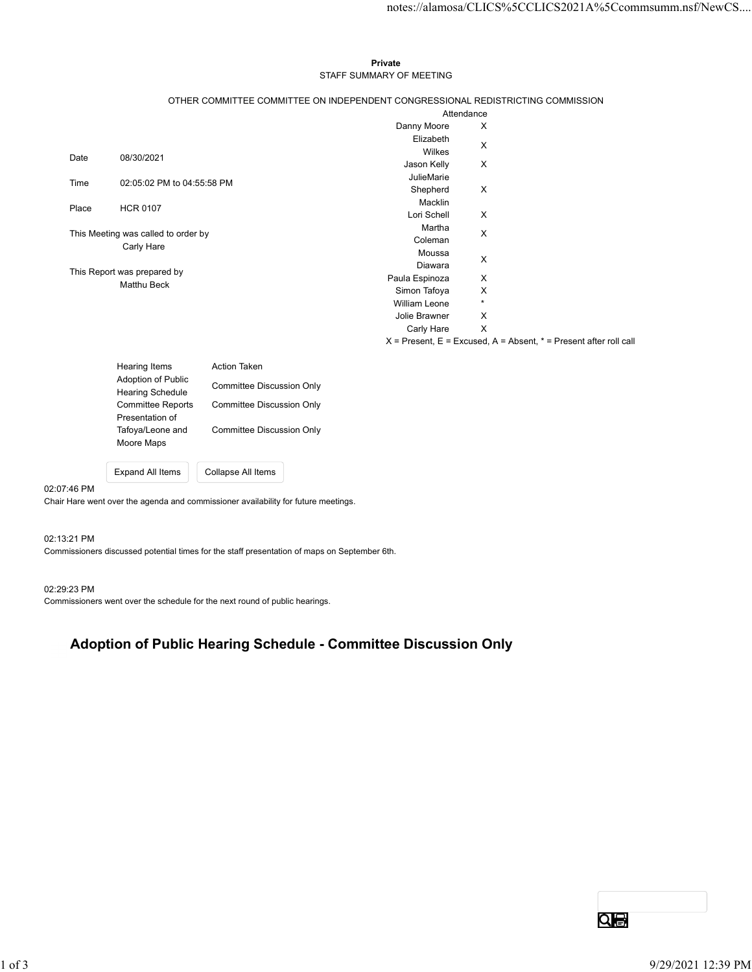## Private STAFF SUMMARY OF MEETING

|       |                                      |                                  |                                                                                 |                           | notes://alamosa/CLICS%5CCLICS2021A%5Ccommsumm.nsf/NewCS                   |  |
|-------|--------------------------------------|----------------------------------|---------------------------------------------------------------------------------|---------------------------|---------------------------------------------------------------------------|--|
|       |                                      |                                  |                                                                                 |                           |                                                                           |  |
|       |                                      |                                  |                                                                                 |                           |                                                                           |  |
|       |                                      |                                  | Private                                                                         |                           |                                                                           |  |
|       |                                      |                                  | STAFF SUMMARY OF MEETING                                                        |                           |                                                                           |  |
|       |                                      |                                  | OTHER COMMITTEE COMMITTEE ON INDEPENDENT CONGRESSIONAL REDISTRICTING COMMISSION |                           |                                                                           |  |
|       |                                      |                                  |                                                                                 | Attendance                |                                                                           |  |
|       |                                      |                                  | Danny Moore                                                                     | X                         |                                                                           |  |
|       |                                      |                                  | Elizabeth<br>Wilkes                                                             | X                         |                                                                           |  |
| Date  | 08/30/2021                           |                                  | Jason Kelly                                                                     | $\boldsymbol{\mathsf{X}}$ |                                                                           |  |
|       |                                      |                                  | JulieMarie                                                                      |                           |                                                                           |  |
| Time  | 02:05:02 PM to 04:55:58 PM           |                                  | Shepherd                                                                        | X                         |                                                                           |  |
| Place | <b>HCR 0107</b>                      |                                  | Macklin                                                                         |                           |                                                                           |  |
|       |                                      |                                  | Lori Schell<br>Martha                                                           | $\boldsymbol{\mathsf{X}}$ |                                                                           |  |
|       | This Meeting was called to order by  |                                  | Coleman                                                                         | $\boldsymbol{\mathsf{X}}$ |                                                                           |  |
|       | Carly Hare                           |                                  | Moussa                                                                          |                           |                                                                           |  |
|       | This Report was prepared by          |                                  | Diawara                                                                         | X                         |                                                                           |  |
|       | Matthu Beck                          |                                  | Paula Espinoza                                                                  | X                         |                                                                           |  |
|       |                                      |                                  | Simon Tafoya<br><b>William Leone</b>                                            | X<br>$\star$              |                                                                           |  |
|       |                                      |                                  | Jolie Brawner                                                                   | X                         |                                                                           |  |
|       |                                      |                                  | Carly Hare                                                                      | $\mathsf{X}$              |                                                                           |  |
|       |                                      |                                  |                                                                                 |                           | $X =$ Present, $E =$ Excused, $A =$ Absent, $* =$ Present after roll call |  |
|       | <b>Hearing Items</b>                 | Action Taken                     |                                                                                 |                           |                                                                           |  |
|       | Adoption of Public                   | <b>Committee Discussion Only</b> |                                                                                 |                           |                                                                           |  |
|       | <b>Hearing Schedule</b>              |                                  |                                                                                 |                           |                                                                           |  |
|       | Committee Reports<br>Presentation of | <b>Committee Discussion Only</b> |                                                                                 |                           |                                                                           |  |
|       | Tafoya/Leone and                     | <b>Committee Discussion Only</b> |                                                                                 |                           |                                                                           |  |
|       | Moore Maps                           |                                  |                                                                                 |                           |                                                                           |  |
|       | Expand All Items                     | Collapse All Items               |                                                                                 |                           |                                                                           |  |
|       |                                      |                                  |                                                                                 |                           |                                                                           |  |

| <b>Hearing Items</b><br><b>Adoption of Public</b><br><b>Hearing Schedule</b><br><b>Committee Reports</b><br>Presentation of<br>Tafoya/Leone and<br>Moore Maps | <b>Action Taken</b><br>Committee Discussion Only<br>Committee Discussion Only<br>Committee Discussion Only |
|---------------------------------------------------------------------------------------------------------------------------------------------------------------|------------------------------------------------------------------------------------------------------------|
| <b>Expand All Items</b>                                                                                                                                       | Collapse All Items                                                                                         |

### 02:07:46 PM

Chair Hare went over the agenda and commissioner availability for future meetings.

02:13:21 PM

Commissioners discussed potential times for the staff presentation of maps on September 6th.

### 02:29:23 PM

Commissioners went over the schedule for the next round of public hearings.

# Adoption of Public Hearing Schedule - Committee Discussion Only Nopholi of Public Hearing Schedule • Committee Discussion Only<br>
2021 12:39 PM<br>
9/29/2021 12:39 PM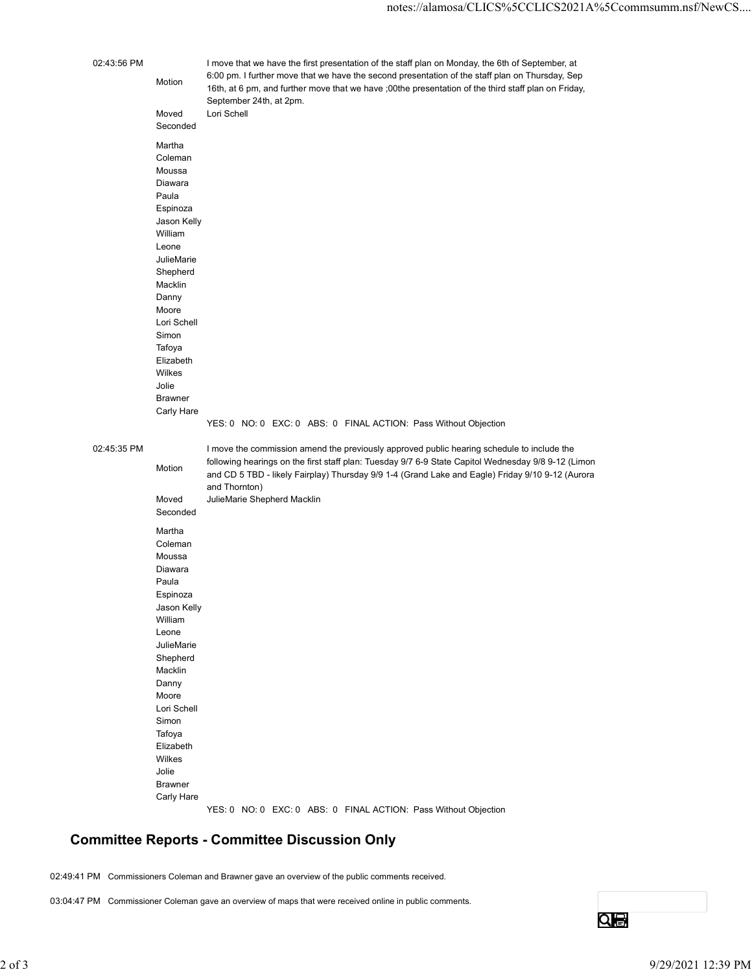|            |             |                                                                                                                           | notes://alamosa/CLICS%5CCLICS2021A%5Ccommsumm.nsf/NewCS                                                                                                                                                                                                                                                                                              |                 |
|------------|-------------|---------------------------------------------------------------------------------------------------------------------------|------------------------------------------------------------------------------------------------------------------------------------------------------------------------------------------------------------------------------------------------------------------------------------------------------------------------------------------------------|-----------------|
|            | 02:43:56 PM | Motion<br>Moved<br>Seconded                                                                                               | I move that we have the first presentation of the staff plan on Monday, the 6th of September, at<br>6:00 pm. I further move that we have the second presentation of the staff plan on Thursday, Sep<br>16th, at 6 pm, and further move that we have ;00the presentation of the third staff plan on Friday,<br>September 24th, at 2pm.<br>Lori Schell |                 |
|            |             | Martha<br>Coleman<br>Moussa<br>Diawara<br>Paula<br>Espinoza<br>Jason Kelly<br>William<br>Leone<br>JulieMarie              |                                                                                                                                                                                                                                                                                                                                                      |                 |
|            |             | Shepherd<br>Macklin<br>Danny<br>Moore<br>Lori Schell<br>Simon<br>Tafoya<br>Elizabeth<br>Wilkes<br>Jolie<br><b>Brawner</b> |                                                                                                                                                                                                                                                                                                                                                      |                 |
|            | 02:45:35 PM | Carly Hare                                                                                                                | YES: 0 NO: 0 EXC: 0 ABS: 0 FINAL ACTION: Pass Without Objection<br>I move the commission amend the previously approved public hearing schedule to include the<br>following hearings on the first staff plan: Tuesday 9/7 6-9 State Capitol Wednesday 9/8 9-12 (Limon                                                                                 |                 |
|            |             | Motion<br>Moved<br>Seconded<br>Martha<br>Coleman                                                                          | and CD 5 TBD - likely Fairplay) Thursday 9/9 1-4 (Grand Lake and Eagle) Friday 9/10 9-12 (Aurora<br>and Thornton)<br>JulieMarie Shepherd Macklin                                                                                                                                                                                                     |                 |
|            |             | Moussa<br>Diawara<br>Paula<br>Espinoza<br>Jason Kelly<br>William                                                          |                                                                                                                                                                                                                                                                                                                                                      |                 |
|            |             | Leone<br>JulieMarie<br>Shepherd<br>Macklin<br>Danny<br>Moore                                                              |                                                                                                                                                                                                                                                                                                                                                      |                 |
|            |             | Lori Schell<br>Simon<br>Tafoya<br>Elizabeth<br>Wilkes<br>Jolie<br><b>Brawner</b>                                          |                                                                                                                                                                                                                                                                                                                                                      |                 |
|            |             | Carly Hare                                                                                                                | YES: 0 NO: 0 EXC: 0 ABS: 0 FINAL ACTION: Pass Without Objection<br><b>Committee Reports - Committee Discussion Only</b>                                                                                                                                                                                                                              |                 |
|            |             |                                                                                                                           | 02:49:41 PM Commissioners Coleman and Brawner gave an overview of the public comments received.                                                                                                                                                                                                                                                      |                 |
|            |             |                                                                                                                           | 03:04:47 PM Commissioner Coleman gave an overview of maps that were received online in public comments.                                                                                                                                                                                                                                              | $Q_{\bigoplus}$ |
| $2$ of $3$ |             |                                                                                                                           |                                                                                                                                                                                                                                                                                                                                                      |                 |

# Committee Reports - Committee Discussion Only